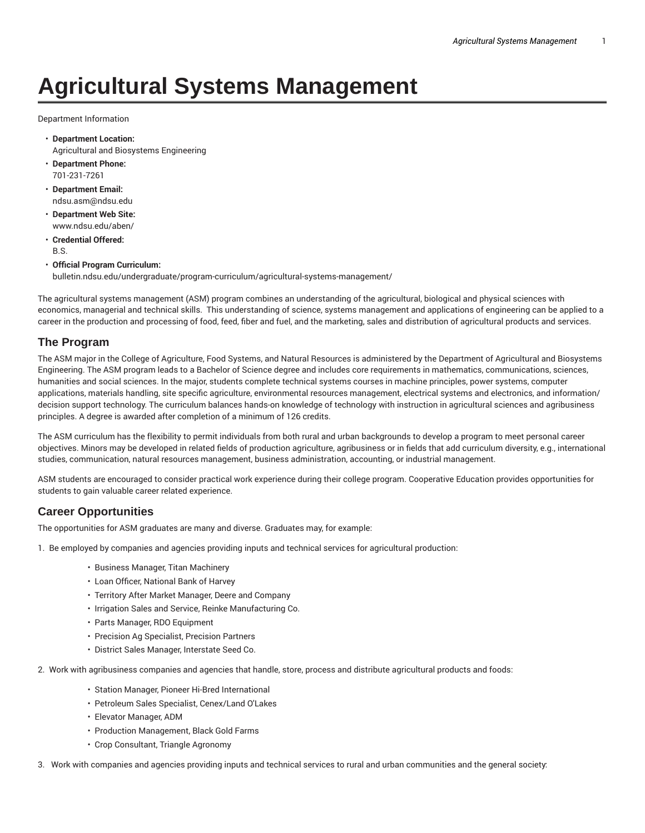# **Agricultural Systems Management**

Department Information

- **Department Location:** Agricultural and Biosystems Engineering
- **Department Phone:** 701-231-7261
- **Department Email:** ndsu.asm@ndsu.edu
- **Department Web Site:** www.ndsu.edu/aben/
- **Credential Offered:** B.S.
- **Official Program Curriculum:** bulletin.ndsu.edu/undergraduate/program-curriculum/agricultural-systems-management/

The agricultural systems management (ASM) program combines an understanding of the agricultural, biological and physical sciences with economics, managerial and technical skills. This understanding of science, systems management and applications of engineering can be applied to a career in the production and processing of food, feed, fiber and fuel, and the marketing, sales and distribution of agricultural products and services.

## **The Program**

The ASM major in the College of Agriculture, Food Systems, and Natural Resources is administered by the Department of Agricultural and Biosystems Engineering. The ASM program leads to a Bachelor of Science degree and includes core requirements in mathematics, communications, sciences, humanities and social sciences. In the major, students complete technical systems courses in machine principles, power systems, computer applications, materials handling, site specific agriculture, environmental resources management, electrical systems and electronics, and information/ decision support technology. The curriculum balances hands-on knowledge of technology with instruction in agricultural sciences and agribusiness principles. A degree is awarded after completion of a minimum of 126 credits.

The ASM curriculum has the flexibility to permit individuals from both rural and urban backgrounds to develop a program to meet personal career objectives. Minors may be developed in related fields of production agriculture, agribusiness or in fields that add curriculum diversity, e.g., international studies, communication, natural resources management, business administration, accounting, or industrial management.

ASM students are encouraged to consider practical work experience during their college program. Cooperative Education provides opportunities for students to gain valuable career related experience.

# **Career Opportunities**

The opportunities for ASM graduates are many and diverse. Graduates may, for example:

1. Be employed by companies and agencies providing inputs and technical services for agricultural production:

- Business Manager, Titan Machinery
- Loan Officer, National Bank of Harvey
- Territory After Market Manager, Deere and Company
- Irrigation Sales and Service, Reinke Manufacturing Co.
- Parts Manager, RDO Equipment
- Precision Ag Specialist, Precision Partners
- District Sales Manager, Interstate Seed Co.
- 2. Work with agribusiness companies and agencies that handle, store, process and distribute agricultural products and foods:
	- Station Manager, Pioneer Hi-Bred International
	- Petroleum Sales Specialist, Cenex/Land O'Lakes
	- Elevator Manager, ADM
	- Production Management, Black Gold Farms
	- Crop Consultant, Triangle Agronomy
- 3. Work with companies and agencies providing inputs and technical services to rural and urban communities and the general society: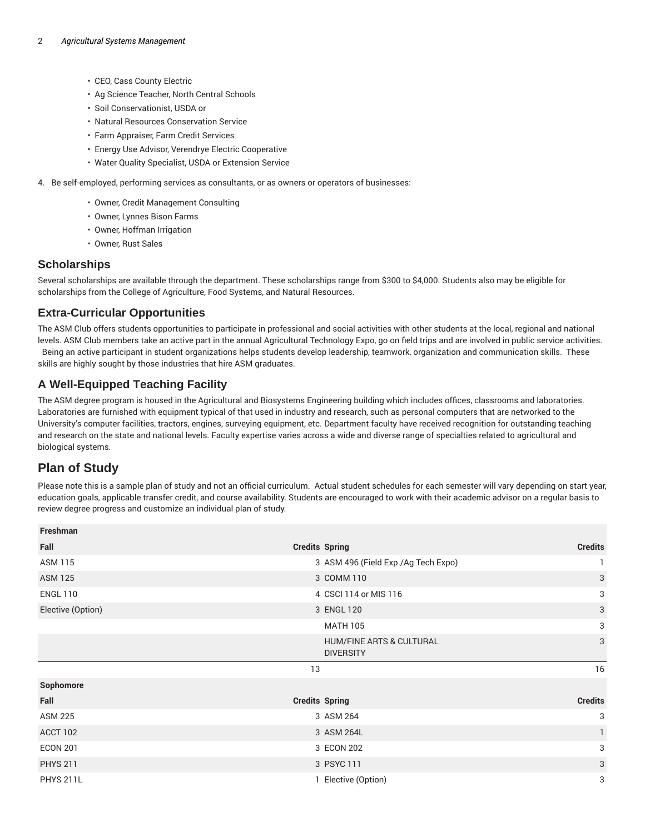- CEO, Cass County Electric
- Ag Science Teacher, North Central Schools
- Soil Conservationist, USDA or
- Natural Resources Conservation Service
- Farm Appraiser, Farm Credit Services
- Energy Use Advisor, Verendrye Electric Cooperative
- Water Quality Specialist, USDA or Extension Service
- 4. Be self-employed, performing services as consultants, or as owners or operators of businesses:
	- Owner, Credit Management Consulting
	- Owner, Lynnes Bison Farms
	- Owner, Hoffman Irrigation
	- Owner, Rust Sales

#### **Scholarships**

Several scholarships are available through the department. These scholarships range from \$300 to \$4,000. Students also may be eligible for scholarships from the College of Agriculture, Food Systems, and Natural Resources.

### **Extra-Curricular Opportunities**

The ASM Club offers students opportunities to participate in professional and social activities with other students at the local, regional and national levels. ASM Club members take an active part in the annual Agricultural Technology Expo, go on field trips and are involved in public service activities. Being an active participant in student organizations helps students develop leadership, teamwork, organization and communication skills. These skills are highly sought by those industries that hire ASM graduates.

## **A Well-Equipped Teaching Facility**

The ASM degree program is housed in the Agricultural and Biosystems Engineering building which includes offices, classrooms and laboratories. Laboratories are furnished with equipment typical of that used in industry and research, such as personal computers that are networked to the University's computer facilities, tractors, engines, surveying equipment, etc. Department faculty have received recognition for outstanding teaching and research on the state and national levels. Faculty expertise varies across a wide and diverse range of specialties related to agricultural and biological systems.

# **Plan of Study**

Please note this is a sample plan of study and not an official curriculum. Actual student schedules for each semester will vary depending on start year, education goals, applicable transfer credit, and course availability. Students are encouraged to work with their academic advisor on a regular basis to review degree progress and customize an individual plan of study.

| Freshman          |                                              |                |
|-------------------|----------------------------------------------|----------------|
| Fall              | <b>Credits Spring</b>                        | <b>Credits</b> |
| <b>ASM 115</b>    | 3 ASM 496 (Field Exp./Ag Tech Expo)          | 1              |
| <b>ASM 125</b>    | 3 COMM 110                                   | $\sqrt{3}$     |
| <b>ENGL 110</b>   | 4 CSCI 114 or MIS 116                        | 3              |
| Elective (Option) | 3 ENGL 120                                   | $\sqrt{3}$     |
|                   | <b>MATH 105</b>                              | 3              |
|                   | HUM/FINE ARTS & CULTURAL<br><b>DIVERSITY</b> | 3              |
|                   |                                              |                |
|                   | 13                                           | 16             |
| Sophomore         |                                              |                |
| Fall              | <b>Credits Spring</b>                        | <b>Credits</b> |
| <b>ASM 225</b>    | 3 ASM 264                                    | 3              |
| ACCT 102          | 3 ASM 264L                                   | $\mathbf{1}$   |
| <b>ECON 201</b>   | 3 ECON 202                                   | 3              |
| <b>PHYS 211</b>   | 3 PSYC 111                                   | 3              |